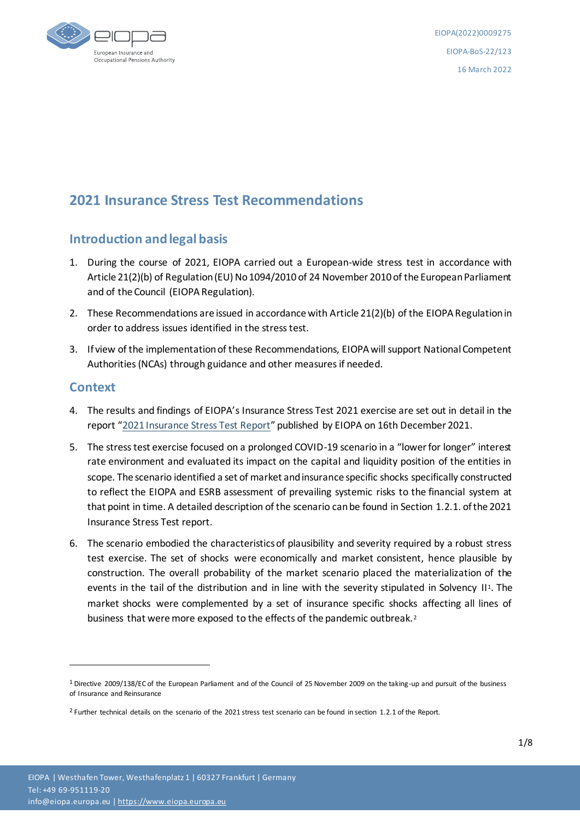

# **2021 Insurance Stress Test Recommendations**

# **Introduction and legal basis**

- 1. During the course of 2021, EIOPA carried out a European-wide stress test in accordance with Article 21(2)(b) of Regulation (EU) No 1094/2010 of 24 November 2010 of the European Parliament and of the Council (EIOPA Regulation).
- 2. These Recommendations are issued in accordance with Article 21(2)(b) of the EIOPA Regulation in order to address issues identified in the stress test.
- 3. If view of the implementation of these Recommendations, EIOPA will support National Competent Authorities (NCAs) through guidance and other measures if needed.

# **Context**

1

- 4. The results and findings of EIOPA's Insurance Stress Test 2021 exercise are set out in detail in the report "2021 [Insurance Stress Test Report](https://www.eiopa.europa.eu/sites/default/files/financial_stability/insurance_stress_test/insurance_stress_test_2021/eiopa-bos-21-552-2021-stress-test-report_0.pdf)" published by EIOPA on 16th December 2021.
- 5. The stress test exercise focused on a prolonged COVID-19 scenario in a "lower for longer" interest rate environment and evaluated its impact on the capital and liquidity position of the entities in scope. The scenario identified a set of market and insurance specific shocks specifically constructed to reflect the EIOPA and ESRB assessment of prevailing systemic risks to the financial system at that point in time. A detailed description of the scenario can be found in Section 1.2.1. of the 2021 Insurance Stress Test report.
- 6. The scenario embodied the characteristics of plausibility and severity required by a robust stress test exercise. The set of shocks were economically and market consistent, hence plausible by construction. The overall probability of the market scenario placed the materialization of the events in the tail of the distribution and in line with the severity stipulated in Solvency II<sup>1</sup>. The market shocks were complemented by a set of insurance specific shocks affecting all lines of business that were more exposed to the effects of the pandemic outbreak.<sup>2</sup>

 $1$  Directive 2009/138/EC of the European Parliament and of the Council of 25 November 2009 on the taking-up and pursuit of the business of Insurance and Reinsurance

<sup>2</sup> Further technical details on the scenario of the 2021 stress test scenario can be found in section 1.2.1 of the Report.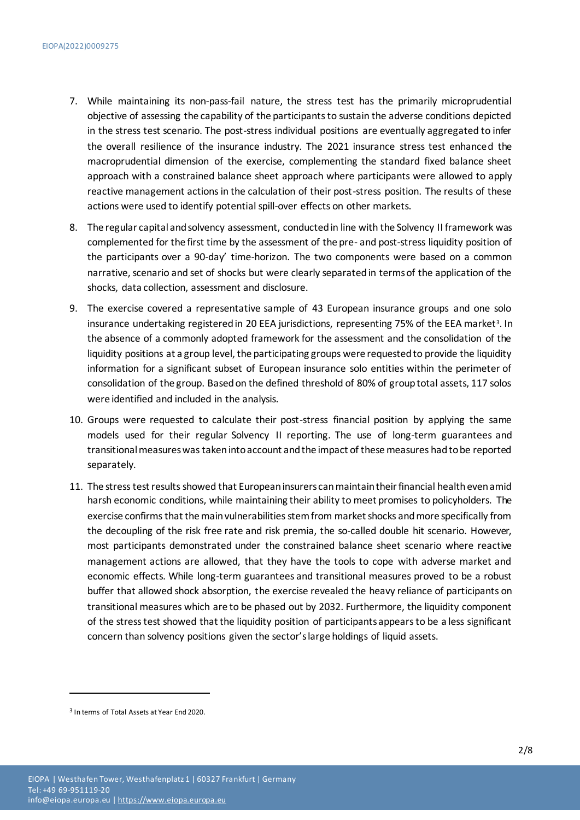- 7. While maintaining its non-pass-fail nature, the stress test has the primarily microprudential objective of assessing the capability of the participants to sustain the adverse conditions depicted in the stress test scenario. The post-stress individual positions are eventually aggregated to infer the overall resilience of the insurance industry. The 2021 insurance stress test enhanced the macroprudential dimension of the exercise, complementing the standard fixed balance sheet approach with a constrained balance sheet approach where participants were allowed to apply reactive management actions in the calculation of their post-stress position. The results of these actions were used to identify potential spill-over effects on other markets.
- 8. The regular capital and solvency assessment, conducted in line with the Solvency II framework was complemented for the first time by the assessment of the pre- and post-stress liquidity position of the participants over a 90-day' time-horizon. The two components were based on a common narrative, scenario and set of shocks but were clearly separated in terms of the application of the shocks, data collection, assessment and disclosure.
- 9. The exercise covered a representative sample of 43 European insurance groups and one solo insurance undertaking registered in 20 EEA jurisdictions, representing 75% of the EEA market<sup>3</sup>. In the absence of a commonly adopted framework for the assessment and the consolidation of the liquidity positions at a group level, the participating groups were requested to provide the liquidity information for a significant subset of European insurance solo entities within the perimeter of consolidation of the group. Based on the defined threshold of 80% of group total assets, 117 solos were identified and included in the analysis.
- 10. Groups were requested to calculate their post-stress financial position by applying the same models used for their regular Solvency II reporting. The use of long-term guarantees and transitional measures was taken into account and the impact of these measures had to be reported separately.
- 11. The stress test results showed that European insurers can maintain their financial health even amid harsh economic conditions, while maintaining their ability to meet promises to policyholders. The exercise confirms that the main vulnerabilities stem from market shocks and more specifically from the decoupling of the risk free rate and risk premia, the so-called double hit scenario. However, most participants demonstrated under the constrained balance sheet scenario where reactive management actions are allowed, that they have the tools to cope with adverse market and economic effects. While long-term guarantees and transitional measures proved to be a robust buffer that allowed shock absorption, the exercise revealed the heavy reliance of participants on transitional measures which are to be phased out by 2032. Furthermore, the liquidity component of the stress test showed that the liquidity position of participants appears to be a less significant concern than solvency positions given the sector's large holdings of liquid assets.

-

<sup>3</sup> In terms of Total Assets at Year End 2020.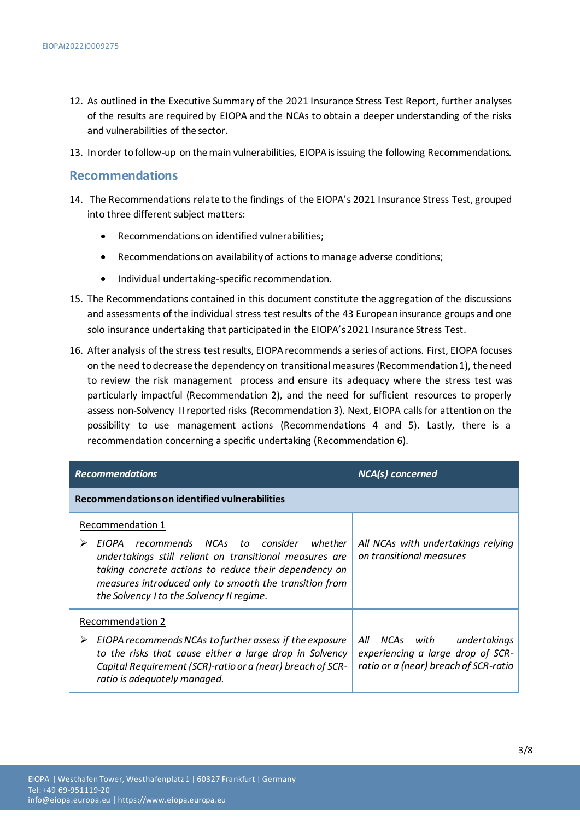- 12. As outlined in the Executive Summary of the 2021 Insurance Stress Test Report, further analyses of the results are required by EIOPA and the NCAs to obtain a deeper understanding of the risks and vulnerabilities of the sector.
- 13. In order to follow-up on the main vulnerabilities, EIOPA is issuing the following Recommendations.

### **Recommendations**

- 14. The Recommendations relate to the findings of the EIOPA's 2021 Insurance Stress Test, grouped into three different subject matters:
	- Recommendations on identified vulnerabilities;
	- Recommendations on availability of actions to manage adverse conditions;
	- $\bullet$  Individual undertaking-specific recommendation.
- 15. The Recommendations contained in this document constitute the aggregation of the discussions and assessments of the individual stress test results of the 43 European insurance groups and one solo insurance undertaking that participated in the EIOPA's 2021 Insurance Stress Test.
- 16. After analysis of the stress testresults, EIOPA recommends a series of actions. First, EIOPA focuses on the need to decrease the dependency on transitional measures (Recommendation 1), the need to review the risk management process and ensure its adequacy where the stress test was particularly impactful (Recommendation 2), and the need for sufficient resources to properly assess non-Solvency II reported risks (Recommendation 3). Next, EIOPA calls for attention on the possibility to use management actions (Recommendations 4 and 5). Lastly, there is a recommendation concerning a specific undertaking (Recommendation 6).

| <b>Recommendations</b>                                                                                                                                                                                                                                                                         | NCA(s) concerned                                                                                               |
|------------------------------------------------------------------------------------------------------------------------------------------------------------------------------------------------------------------------------------------------------------------------------------------------|----------------------------------------------------------------------------------------------------------------|
| Recommendations on identified vulnerabilities                                                                                                                                                                                                                                                  |                                                                                                                |
| Recommendation 1<br>recommends NCAs to consider<br>whether<br>EIOPA<br>undertakings still reliant on transitional measures are<br>taking concrete actions to reduce their dependency on<br>measures introduced only to smooth the transition from<br>the Solvency I to the Solvency II regime. | All NCAs with undertakings relying<br>on transitional measures                                                 |
| <b>Recommendation 2</b><br>EIOPA recommends NCAs to further assess if the exposure<br>➤<br>to the risks that cause either a large drop in Solvency<br>Capital Requirement (SCR)-ratio or a (near) breach of SCR-<br>ratio is adequately managed.                                               | NCAs with<br>All<br>undertakings<br>experiencing a large drop of SCR-<br>ratio or a (near) breach of SCR-ratio |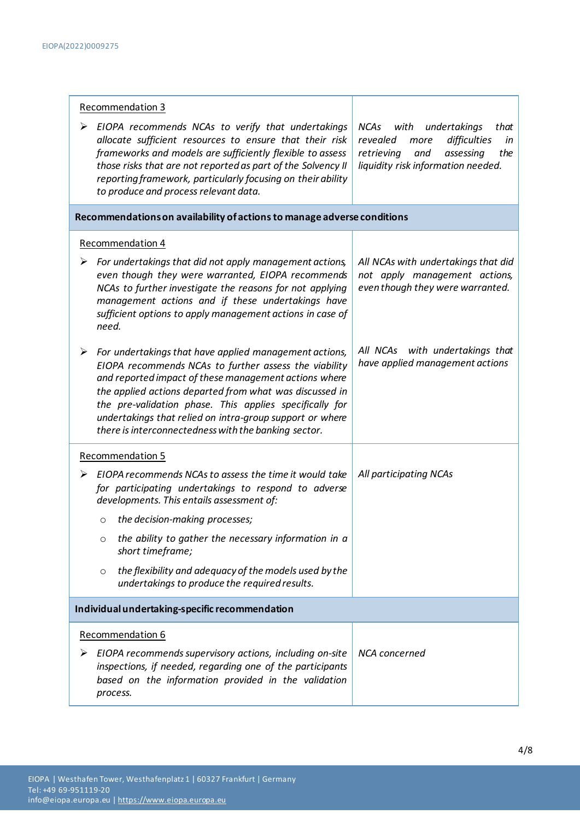| <b>Recommendation 3</b>                                                                                                                                                                                                                                                                                                                                                                                                 |                                                                                                                                                               |  |
|-------------------------------------------------------------------------------------------------------------------------------------------------------------------------------------------------------------------------------------------------------------------------------------------------------------------------------------------------------------------------------------------------------------------------|---------------------------------------------------------------------------------------------------------------------------------------------------------------|--|
| EIOPA recommends NCAs to verify that undertakings<br>➤<br>allocate sufficient resources to ensure that their risk<br>frameworks and models are sufficiently flexible to assess<br>those risks that are not reported as part of the Solvency II<br>reporting framework, particularly focusing on their ability<br>to produce and process relevant data.                                                                  | NCAs<br>with<br>undertakings<br>that<br>revealed<br>more<br>difficulties<br>in<br>retrieving<br>and<br>assessing<br>the<br>liquidity risk information needed. |  |
| Recommendations on availability of actions to manage adverse conditions                                                                                                                                                                                                                                                                                                                                                 |                                                                                                                                                               |  |
| Recommendation 4                                                                                                                                                                                                                                                                                                                                                                                                        |                                                                                                                                                               |  |
| For undertakings that did not apply management actions,<br>➤<br>even though they were warranted, EIOPA recommends<br>NCAs to further investigate the reasons for not applying<br>management actions and if these undertakings have<br>sufficient options to apply management actions in case of<br>need.                                                                                                                | All NCAs with undertakings that did<br>not apply management actions,<br>even though they were warranted.                                                      |  |
| For undertakings that have applied management actions,<br>➤<br>EIOPA recommends NCAs to further assess the viability<br>and reported impact of these management actions where<br>the applied actions departed from what was discussed in<br>the pre-validation phase. This applies specifically for<br>undertakings that relied on intra-group support or where<br>there is interconnectedness with the banking sector. | All NCAs with undertakings that<br>have applied management actions                                                                                            |  |
| <b>Recommendation 5</b>                                                                                                                                                                                                                                                                                                                                                                                                 |                                                                                                                                                               |  |
| EIOPA recommends NCAs to assess the time it would take<br>for participating undertakings to respond to adverse<br>developments. This entails assessment of:<br>the decision-making processes;<br>$\circ$                                                                                                                                                                                                                | All participating NCAs                                                                                                                                        |  |
| the ability to gather the necessary information in a<br>O<br>short timeframe;                                                                                                                                                                                                                                                                                                                                           |                                                                                                                                                               |  |
| the flexibility and adequacy of the models used by the<br>$\circ$<br>undertakings to produce the required results.                                                                                                                                                                                                                                                                                                      |                                                                                                                                                               |  |
| Individual undertaking-specific recommendation                                                                                                                                                                                                                                                                                                                                                                          |                                                                                                                                                               |  |
| Recommendation 6                                                                                                                                                                                                                                                                                                                                                                                                        |                                                                                                                                                               |  |
| EIOPA recommends supervisory actions, including on-site<br>➤<br>inspections, if needed, regarding one of the participants<br>based on the information provided in the validation<br>process.                                                                                                                                                                                                                            | NCA concerned                                                                                                                                                 |  |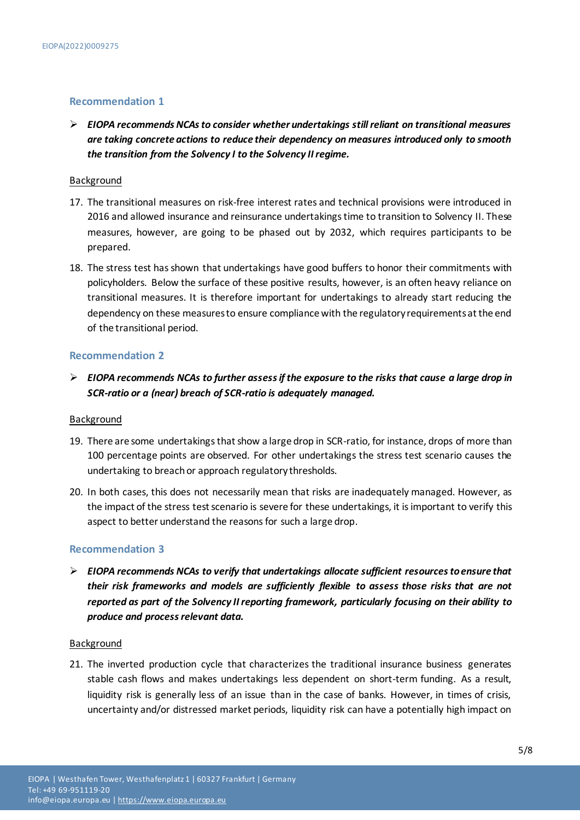#### **Recommendation 1**

 *EIOPA recommends NCAs to consider whether undertakings still reliant on transitional measures are taking concrete actions to reduce their dependency on measures introduced only to smooth the transition from the Solvency I to the Solvency II regime.*

#### Background

- 17. The transitional measures on risk-free interest rates and technical provisions were introduced in 2016 and allowed insurance and reinsurance undertakings time to transition to Solvency II. These measures, however, are going to be phased out by 2032, which requires participants to be prepared.
- 18. The stress test has shown that undertakings have good buffers to honor their commitments with policyholders. Below the surface of these positive results, however, is an often heavy reliance on transitional measures. It is therefore important for undertakings to already start reducing the dependency on these measures to ensure compliance with the regulatory requirements at the end of the transitional period.

#### **Recommendation 2**

 *EIOPA recommends NCAs to further assess if the exposure to the risks that cause a large drop in SCR-ratio or a (near) breach of SCR-ratio is adequately managed.*

#### **Background**

- 19. There are some undertakings that show a large drop in SCR-ratio, for instance, drops of more than 100 percentage points are observed. For other undertakings the stress test scenario causes the undertaking to breach or approach regulatory thresholds.
- 20. In both cases, this does not necessarily mean that risks are inadequately managed. However, as the impact of the stress test scenario is severe for these undertakings, it is important to verify this aspect to better understand the reasons for such a large drop.

### **Recommendation 3**

 *EIOPA recommends NCAs to verify that undertakings allocate sufficient resources to ensure that their risk frameworks and models are sufficiently flexible to assess those risks that are not reported as part of the Solvency II reporting framework, particularly focusing on their ability to produce and process relevant data.*

#### Background

21. The inverted production cycle that characterizes the traditional insurance business generates stable cash flows and makes undertakings less dependent on short-term funding. As a result, liquidity risk is generally less of an issue than in the case of banks. However, in times of crisis, uncertainty and/or distressed market periods, liquidity risk can have a potentially high impact on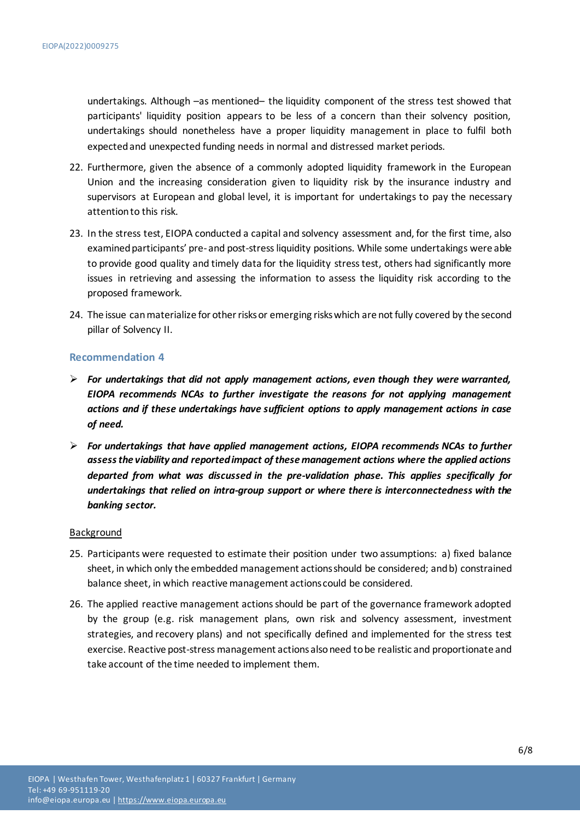undertakings. Although –as mentioned– the liquidity component of the stress test showed that participants' liquidity position appears to be less of a concern than their solvency position, undertakings should nonetheless have a proper liquidity management in place to fulfil both expected and unexpected funding needs in normal and distressed market periods.

- 22. Furthermore, given the absence of a commonly adopted liquidity framework in the European Union and the increasing consideration given to liquidity risk by the insurance industry and supervisors at European and global level, it is important for undertakings to pay the necessary attention to this risk.
- 23. In the stress test, EIOPA conducted a capital and solvency assessment and, for the first time, also examined participants' pre- and post-stress liquidity positions. While some undertakings were able to provide good quality and timely data for the liquidity stress test, others had significantly more issues in retrieving and assessing the information to assess the liquidity risk according to the proposed framework.
- 24. The issue can materialize for other risks or emerging risks which are not fully covered by the second pillar of Solvency II.

#### **Recommendation 4**

- *For undertakings that did not apply management actions, even though they were warranted, EIOPA recommends NCAs to further investigate the reasons for not applying management actions and if these undertakings have sufficient options to apply management actions in case of need.*
- *For undertakings that have applied management actions, EIOPA recommends NCAs to further assess the viability and reported impact of these management actions where the applied actions departed from what was discussed in the pre-validation phase. This applies specifically for undertakings that relied on intra-group support or where there is interconnectedness with the banking sector.*

#### Background

- 25. Participants were requested to estimate their position under two assumptions: a) fixed balance sheet, in which only the embedded management actions should be considered; and b) constrained balance sheet, in which reactive management actions could be considered.
- 26. The applied reactive management actions should be part of the governance framework adopted by the group (e.g. risk management plans, own risk and solvency assessment, investment strategies, and recovery plans) and not specifically defined and implemented for the stress test exercise. Reactive post-stress management actions also need to be realistic and proportionate and take account of the time needed to implement them.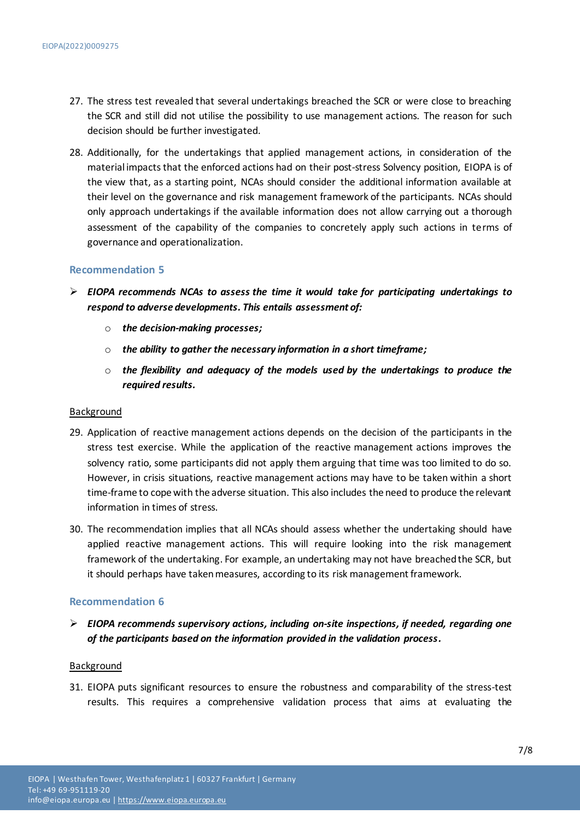- 27. The stress test revealed that several undertakings breached the SCR or were close to breaching the SCR and still did not utilise the possibility to use management actions. The reason for such decision should be further investigated.
- 28. Additionally, for the undertakings that applied management actions, in consideration of the material impacts that the enforced actions had on their post-stress Solvency position, EIOPA is of the view that, as a starting point, NCAs should consider the additional information available at their level on the governance and risk management framework of the participants. NCAs should only approach undertakings if the available information does not allow carrying out a thorough assessment of the capability of the companies to concretely apply such actions in terms of governance and operationalization.

#### **Recommendation 5**

- *EIOPA recommends NCAs to assess the time it would take for participating undertakings to respond to adverse developments. This entails assessment of:*
	- o *the decision-making processes;*
	- o *the ability to gather the necessary information in a short timeframe;*
	- o *the flexibility and adequacy of the models used by the undertakings to produce the required results.*

#### Background

- 29. Application of reactive management actions depends on the decision of the participants in the stress test exercise. While the application of the reactive management actions improves the solvency ratio, some participants did not apply them arguing that time was too limited to do so. However, in crisis situations, reactive management actions may have to be taken within a short time-frame to cope with the adverse situation. This also includes the need to produce the relevant information in times of stress.
- 30. The recommendation implies that all NCAs should assess whether the undertaking should have applied reactive management actions. This will require looking into the risk management framework of the undertaking. For example, an undertaking may not have breached the SCR, but it should perhaps have taken measures, according to its risk management framework.

#### **Recommendation 6**

 *EIOPA recommends supervisory actions, including on-site inspections, if needed, regarding one of the participants based on the information provided in the validation process.*

#### Background

31. EIOPA puts significant resources to ensure the robustness and comparability of the stress-test results. This requires a comprehensive validation process that aims at evaluating the